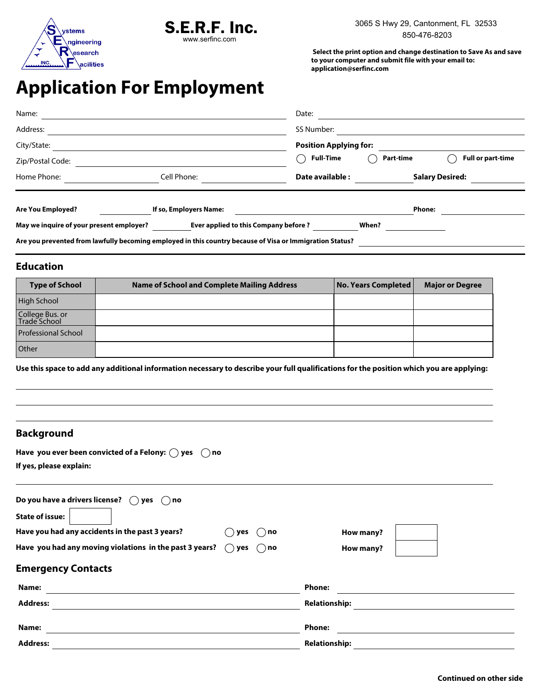



 **Select the print option and change destination to Save As and save to your computer and submit file with your email to: application@serfinc.com**

## **Application For Employment**

| May we inquire of your present employer?<br>Are you prevented from lawfully becoming employed in this country because of Visa or Immigration Status? | Ever applied to this Company before? |                               | When?                  |                          |  |
|------------------------------------------------------------------------------------------------------------------------------------------------------|--------------------------------------|-------------------------------|------------------------|--------------------------|--|
| Are You Employed?                                                                                                                                    | If so, Employers Name:               |                               | <b>Phone:</b>          |                          |  |
| Home Phone:                                                                                                                                          | Cell Phone:                          | Date available :              | <b>Salary Desired:</b> |                          |  |
| Zip/Postal Code:                                                                                                                                     |                                      | <b>Full-Time</b>              | Part-time              | <b>Full or part-time</b> |  |
| City/State:                                                                                                                                          |                                      | <b>Position Applying for:</b> |                        |                          |  |
| Address:                                                                                                                                             |                                      | SS Number:                    |                        |                          |  |
| Name:                                                                                                                                                |                                      | Date:                         |                        |                          |  |

## **Education**

| <b>Type of School</b>           | <b>Name of School and Complete Mailing Address</b> | No. Years Completed | <b>Major or Degree</b> |
|---------------------------------|----------------------------------------------------|---------------------|------------------------|
| <b>High School</b>              |                                                    |                     |                        |
| College Bus. or<br>Trade School |                                                    |                     |                        |
| <b>Professional School</b>      |                                                    |                     |                        |
| <b>Other</b>                    |                                                    |                     |                        |

**Use this space to add any additional information necessary to describe your full qualifications for the position which you are applying:**

## **Background**

| Have you ever been convicted of a Felony: $\bigcirc$ yes $\bigcirc$ no |  |
|------------------------------------------------------------------------|--|
| If yes, please explain:                                                |  |

| Do you have a drivers license? $\bigcirc$ yes<br>$( )$ no                        |                      |
|----------------------------------------------------------------------------------|----------------------|
| <b>State of issue:</b>                                                           |                      |
| Have you had any accidents in the past 3 years?<br>$( )$ no<br>yes               | How many?            |
| Have you had any moving violations in the past 3 years? $\bigcirc$<br>yes ( ) no | How many?            |
| <b>Emergency Contacts</b>                                                        |                      |
| Name:                                                                            | <b>Phone:</b>        |
| <b>Address:</b>                                                                  | <b>Relationship:</b> |
|                                                                                  |                      |
| Name:                                                                            | <b>Phone:</b>        |
| <b>Address:</b>                                                                  | <b>Relationship:</b> |